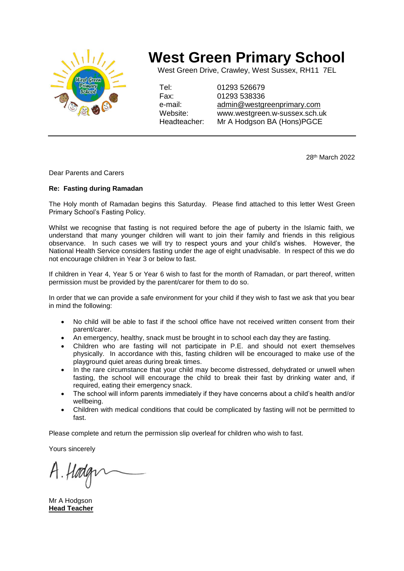

## **West Green Primary School**

West Green Drive, Crawley, West Sussex, RH11 7EL

Tel: 01293 526679 Fax: 01293 538336 e-mail: [admin@westgreenprimary.com](mailto:admin@westgreenprimary.com) Website: www.westgreen.w-sussex.sch.uk Headteacher: Mr A Hodgson BA (Hons)PGCE

28th March 2022

Dear Parents and Carers

## **Re: Fasting during Ramadan**

The Holy month of Ramadan begins this Saturday. Please find attached to this letter West Green Primary School's Fasting Policy.

Whilst we recognise that fasting is not required before the age of puberty in the Islamic faith, we understand that many younger children will want to join their family and friends in this religious observance. In such cases we will try to respect yours and your child's wishes. However, the National Health Service considers fasting under the age of eight unadvisable. In respect of this we do not encourage children in Year 3 or below to fast.

If children in Year 4, Year 5 or Year 6 wish to fast for the month of Ramadan, or part thereof, written permission must be provided by the parent/carer for them to do so.

In order that we can provide a safe environment for your child if they wish to fast we ask that you bear in mind the following:

- No child will be able to fast if the school office have not received written consent from their parent/carer.
- An emergency, healthy, snack must be brought in to school each day they are fasting.
- Children who are fasting will not participate in P.E. and should not exert themselves physically. In accordance with this, fasting children will be encouraged to make use of the playground quiet areas during break times.
- In the rare circumstance that your child may become distressed, dehydrated or unwell when fasting, the school will encourage the child to break their fast by drinking water and, if required, eating their emergency snack.
- The school will inform parents immediately if they have concerns about a child's health and/or wellbeing.
- Children with medical conditions that could be complicated by fasting will not be permitted to fast.

Please complete and return the permission slip overleaf for children who wish to fast.

Yours sincerely

Mr A Hodgson **Head Teacher**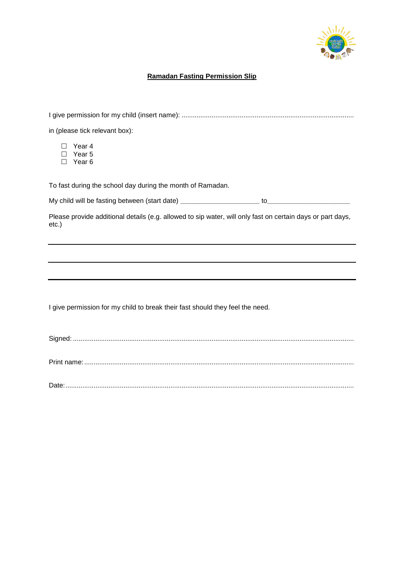

## **Ramadan Fasting Permission Slip**

| in (please tick relevant box):                                                                                         |
|------------------------------------------------------------------------------------------------------------------------|
| Year 4<br>Year 5<br>Year <sub>6</sub>                                                                                  |
| To fast during the school day during the month of Ramadan.                                                             |
|                                                                                                                        |
| Please provide additional details (e.g. allowed to sip water, will only fast on certain days or part days,<br>$etc.$ ) |
|                                                                                                                        |
|                                                                                                                        |
|                                                                                                                        |
|                                                                                                                        |
| I give permission for my child to break their fast should they feel the need.                                          |
|                                                                                                                        |
|                                                                                                                        |

Date:..........................................................................................................................................................